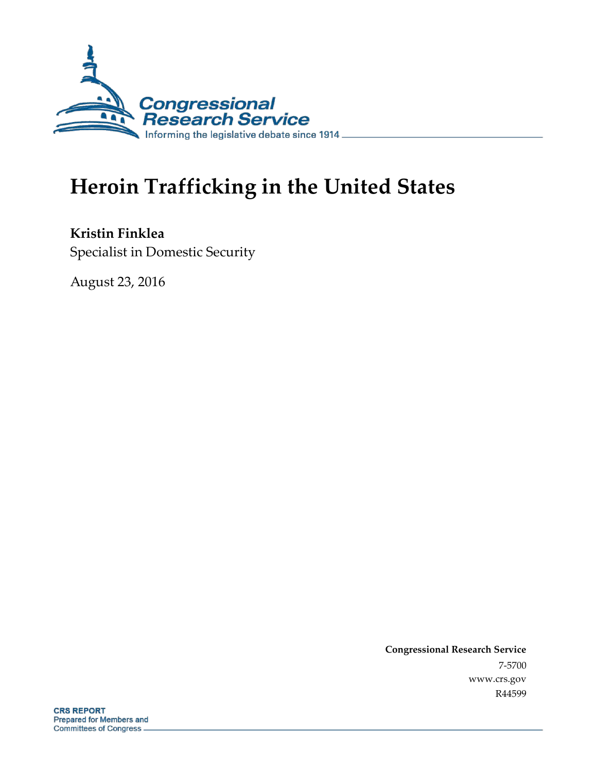

# **Heroin Trafficking in the United States**

**Kristin Finklea** Specialist in Domestic Security

August 23, 2016

**Congressional Research Service** 7-5700 www.crs.gov R44599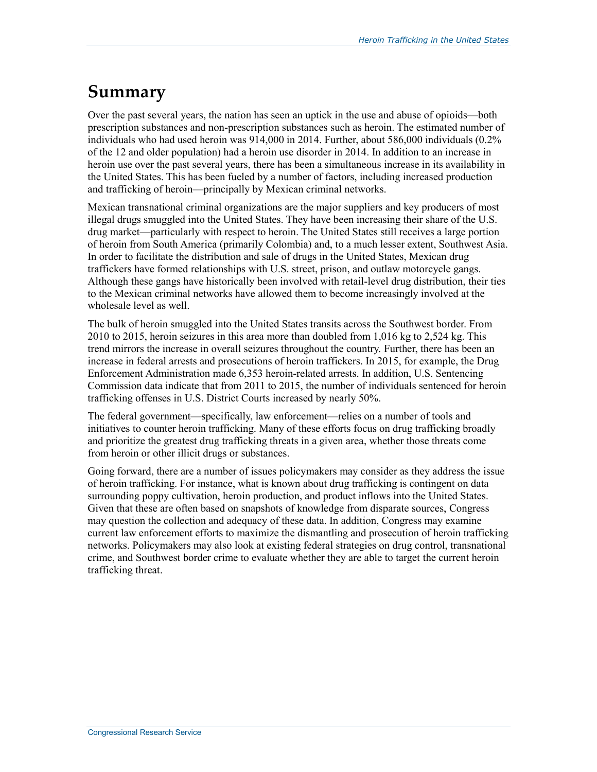## **Summary**

Over the past several years, the nation has seen an uptick in the use and abuse of opioids—both prescription substances and non-prescription substances such as heroin. The estimated number of individuals who had used heroin was 914,000 in 2014. Further, about 586,000 individuals (0.2% of the 12 and older population) had a heroin use disorder in 2014. In addition to an increase in heroin use over the past several years, there has been a simultaneous increase in its availability in the United States. This has been fueled by a number of factors, including increased production and trafficking of heroin—principally by Mexican criminal networks.

Mexican transnational criminal organizations are the major suppliers and key producers of most illegal drugs smuggled into the United States. They have been increasing their share of the U.S. drug market—particularly with respect to heroin. The United States still receives a large portion of heroin from South America (primarily Colombia) and, to a much lesser extent, Southwest Asia. In order to facilitate the distribution and sale of drugs in the United States, Mexican drug traffickers have formed relationships with U.S. street, prison, and outlaw motorcycle gangs. Although these gangs have historically been involved with retail-level drug distribution, their ties to the Mexican criminal networks have allowed them to become increasingly involved at the wholesale level as well.

The bulk of heroin smuggled into the United States transits across the Southwest border. From 2010 to 2015, heroin seizures in this area more than doubled from 1,016 kg to 2,524 kg. This trend mirrors the increase in overall seizures throughout the country. Further, there has been an increase in federal arrests and prosecutions of heroin traffickers. In 2015, for example, the Drug Enforcement Administration made 6,353 heroin-related arrests. In addition, U.S. Sentencing Commission data indicate that from 2011 to 2015, the number of individuals sentenced for heroin trafficking offenses in U.S. District Courts increased by nearly 50%.

The federal government—specifically, law enforcement—relies on a number of tools and initiatives to counter heroin trafficking. Many of these efforts focus on drug trafficking broadly and prioritize the greatest drug trafficking threats in a given area, whether those threats come from heroin or other illicit drugs or substances.

Going forward, there are a number of issues policymakers may consider as they address the issue of heroin trafficking. For instance, what is known about drug trafficking is contingent on data surrounding poppy cultivation, heroin production, and product inflows into the United States. Given that these are often based on snapshots of knowledge from disparate sources, Congress may question the collection and adequacy of these data. In addition, Congress may examine current law enforcement efforts to maximize the dismantling and prosecution of heroin trafficking networks. Policymakers may also look at existing federal strategies on drug control, transnational crime, and Southwest border crime to evaluate whether they are able to target the current heroin trafficking threat.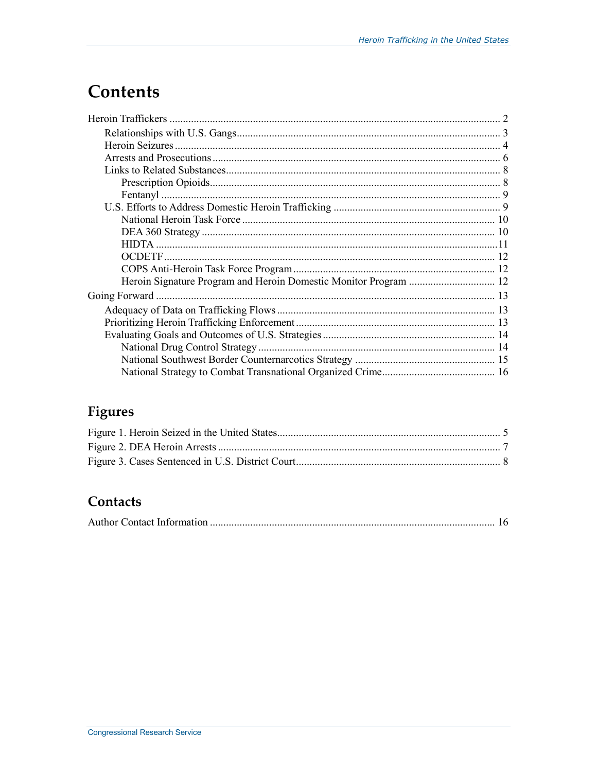## **Contents**

| Heroin Signature Program and Heroin Domestic Monitor Program  12 |  |
|------------------------------------------------------------------|--|
|                                                                  |  |
|                                                                  |  |
|                                                                  |  |
|                                                                  |  |
|                                                                  |  |
|                                                                  |  |
|                                                                  |  |

## Figures

## Contacts

|--|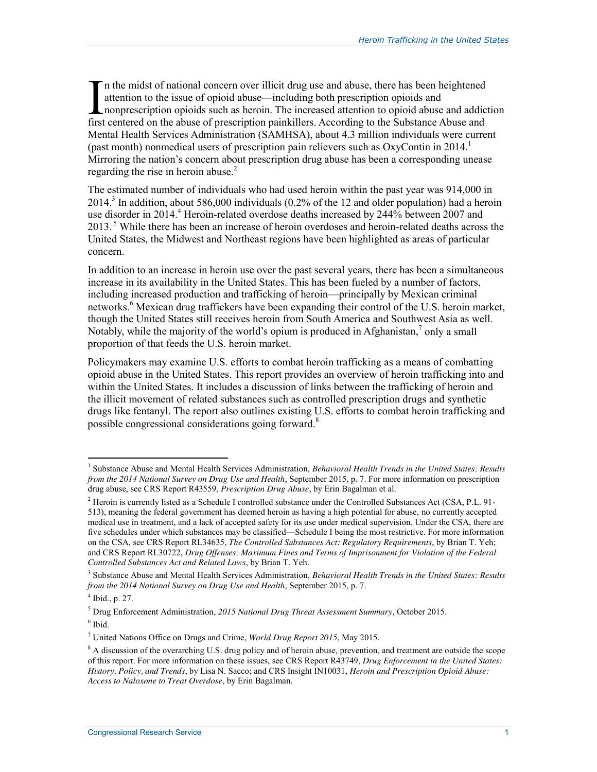n the midst of national concern over illicit drug use and abuse, there has been heightened attention to the issue of opioid abuse—including both prescription opioids and I is the midst of national concern over illicit drug use and abuse, there has been heightened<br>attention to the issue of opioid abuse—including both prescription opioids and<br>nonprescription opioids such as heroin. The incre first centered on the abuse of prescription painkillers. According to the Substance Abuse and Mental Health Services Administration (SAMHSA), about 4.3 million individuals were current (past month) nonmedical users of prescription pain relievers such as  $OxyC$ ontin in 2014.<sup>1</sup> Mirroring the nation's concern about prescription drug abuse has been a corresponding unease regarding the rise in heroin abuse.<sup>2</sup>

The estimated number of individuals who had used heroin within the past year was 914,000 in  $2014<sup>3</sup>$  In addition, about 586,000 individuals (0.2% of the 12 and older population) had a heroin use disorder in 2014.<sup>4</sup> Heroin-related overdose deaths increased by 244% between 2007 and 2013.<sup>5</sup> While there has been an increase of heroin overdoses and heroin-related deaths across the United States, the Midwest and Northeast regions have been highlighted as areas of particular concern.

In addition to an increase in heroin use over the past several years, there has been a simultaneous increase in its availability in the United States. This has been fueled by a number of factors, including increased production and trafficking of heroin—principally by Mexican criminal networks.<sup>6</sup> Mexican drug traffickers have been expanding their control of the U.S. heroin market, though the United States still receives heroin from South America and Southwest Asia as well. Notably, while the majority of the world's opium is produced in Afghanistan, $\alpha$  only a small proportion of that feeds the U.S. heroin market.

Policymakers may examine U.S. efforts to combat heroin trafficking as a means of combatting opioid abuse in the United States. This report provides an overview of heroin trafficking into and within the United States. It includes a discussion of links between the trafficking of heroin and the illicit movement of related substances such as controlled prescription drugs and synthetic drugs like fentanyl. The report also outlines existing U.S. efforts to combat heroin trafficking and possible congressional considerations going forward.<sup>8</sup>

<sup>&</sup>lt;sup>1</sup> Substance Abuse and Mental Health Services Administration, *Behavioral Health Trends in the United States: Results from the 2014 National Survey on Drug Use and Health*, September 2015, p. 7. For more information on prescription drug abuse, see CRS Report R43559, *Prescription Drug Abuse*, by Erin Bagalman et al.

<sup>&</sup>lt;sup>2</sup> Heroin is currently listed as a Schedule I controlled substance under the Controlled Substances Act (CSA, P.L. 91-513), meaning the federal government has deemed heroin as having a high potential for abuse, no currently accepted medical use in treatment, and a lack of accepted safety for its use under medical supervision. Under the CSA, there are five schedules under which substances may be classified—Schedule I being the most restrictive. For more information on the CSA, see CRS Report RL34635, *The Controlled Substances Act: Regulatory Requirements*, by Brian T. Yeh; and CRS Report RL30722, *Drug Offenses: Maximum Fines and Terms of Imprisonment for Violation of the Federal Controlled Substances Act and Related Laws*, by Brian T. Yeh.

<sup>3</sup> Substance Abuse and Mental Health Services Administration, *Behavioral Health Trends in the United States: Results from the 2014 National Survey on Drug Use and Health*, September 2015, p. 7.

 $4$  Ibid., p. 27.

<sup>5</sup> Drug Enforcement Administration, *2015 National Drug Threat Assessment Summary*, October 2015.  $<sup>6</sup>$  Ibid.</sup>

<sup>7</sup> United Nations Office on Drugs and Crime, *World Drug Report 2015*, May 2015.

<sup>&</sup>lt;sup>8</sup> A discussion of the overarching U.S. drug policy and of heroin abuse, prevention, and treatment are outside the scope of this report. For more information on these issues, see CRS Report R43749, *Drug Enforcement in the United States: History, Policy, and Trends*, by Lisa N. Sacco; and CRS Insight IN10031, *Heroin and Prescription Opioid Abuse: Access to Naloxone to Treat Overdose*, by Erin Bagalman.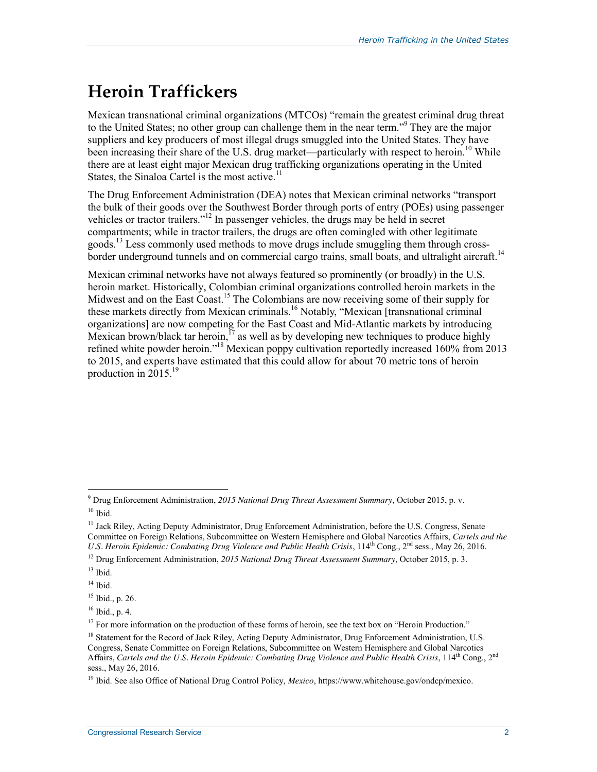# **Heroin Traffickers**

Mexican transnational criminal organizations (MTCOs) "remain the greatest criminal drug threat to the United States; no other group can challenge them in the near term."<sup>9</sup> They are the major suppliers and key producers of most illegal drugs smuggled into the United States. They have been increasing their share of the U.S. drug market—particularly with respect to heroin.<sup>10</sup> While there are at least eight major Mexican drug trafficking organizations operating in the United States, the Sinaloa Cartel is the most active. $11$ 

The Drug Enforcement Administration (DEA) notes that Mexican criminal networks "transport the bulk of their goods over the Southwest Border through ports of entry (POEs) using passenger vehicles or tractor trailers."<sup>12</sup> In passenger vehicles, the drugs may be held in secret compartments; while in tractor trailers, the drugs are often comingled with other legitimate goods.<sup>13</sup> Less commonly used methods to move drugs include smuggling them through crossborder underground tunnels and on commercial cargo trains, small boats, and ultralight aircraft.<sup>14</sup>

Mexican criminal networks have not always featured so prominently (or broadly) in the U.S. heroin market. Historically, Colombian criminal organizations controlled heroin markets in the Midwest and on the East Coast.<sup>15</sup> The Colombians are now receiving some of their supply for these markets directly from Mexican criminals.<sup>16</sup> Notably, "Mexican [transnational criminal organizations] are now competing for the East Coast and Mid-Atlantic markets by introducing Mexican brown/black tar heroin,<sup>17</sup> as well as by developing new techniques to produce highly refined white powder heroin."<sup>18</sup> Mexican poppy cultivation reportedly increased 160% from 2013 to 2015, and experts have estimated that this could allow for about 70 metric tons of heroin production in 2015. $19$ 

 9 Drug Enforcement Administration, *2015 National Drug Threat Assessment Summary*, October 2015, p. v.  $10$  Ibid.

<sup>&</sup>lt;sup>11</sup> Jack Riley, Acting Deputy Administrator, Drug Enforcement Administration, before the U.S. Congress, Senate Committee on Foreign Relations, Subcommittee on Western Hemisphere and Global Narcotics Affairs, *Cartels and the*  U.S. Heroin Epidemic: Combating Drug Violence and Public Health Crisis, 114<sup>th</sup> Cong., 2<sup>nd</sup> sess., May 26, 2016.

<sup>12</sup> Drug Enforcement Administration, *2015 National Drug Threat Assessment Summary*, October 2015, p. 3.

 $13$  Ibid.

 $14$  Ibid.

<sup>15</sup> Ibid., p. 26.

<sup>16</sup> Ibid., p. 4.

 $17$  For more information on the production of these forms of heroin, see the text box on "Heroin Production."

<sup>&</sup>lt;sup>18</sup> Statement for the Record of Jack Riley, Acting Deputy Administrator, Drug Enforcement Administration, U.S. Congress, Senate Committee on Foreign Relations, Subcommittee on Western Hemisphere and Global Narcotics Affairs, *Cartels and the U.S. Heroin Epidemic: Combating Drug Violence and Public Health Crisis*, 114<sup>th</sup> Cong., 2<sup>nd</sup> sess., May 26, 2016.

<sup>19</sup> Ibid. See also Office of National Drug Control Policy, *Mexico*, https://www.whitehouse.gov/ondcp/mexico.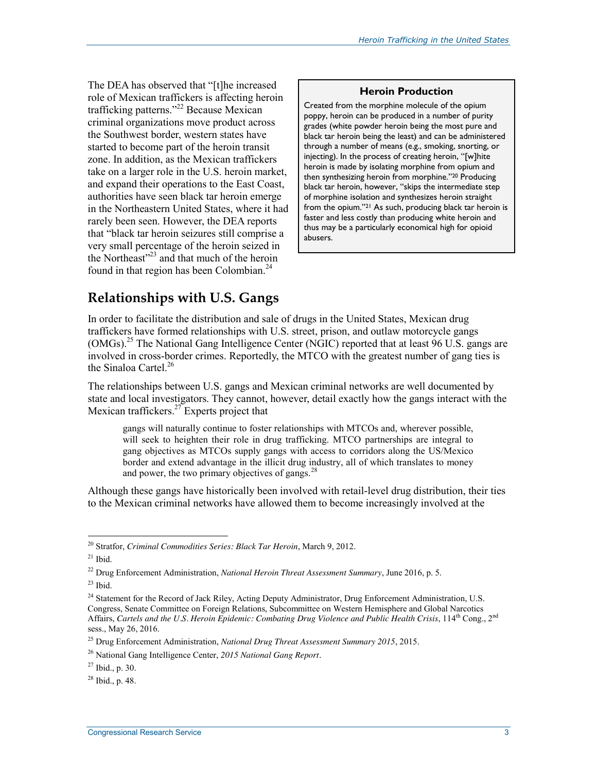The DEA has observed that "[t]he increased role of Mexican traffickers is affecting heroin trafficking patterns."<sup>22</sup> Because Mexican criminal organizations move product across the Southwest border, western states have started to become part of the heroin transit zone. In addition, as the Mexican traffickers take on a larger role in the U.S. heroin market, and expand their operations to the East Coast, authorities have seen black tar heroin emerge in the Northeastern United States, where it had rarely been seen. However, the DEA reports that "black tar heroin seizures still comprise a very small percentage of the heroin seized in the Northeast"<sup>23</sup> and that much of the heroin found in that region has been Colombian. $^{24}$ 

#### **Heroin Production**

Created from the morphine molecule of the opium poppy, heroin can be produced in a number of purity grades (white powder heroin being the most pure and black tar heroin being the least) and can be administered through a number of means (e.g., smoking, snorting, or injecting). In the process of creating heroin, "[w]hite heroin is made by isolating morphine from opium and then synthesizing heroin from morphine."20 Producing black tar heroin, however, "skips the intermediate step of morphine isolation and synthesizes heroin straight from the opium."21 As such, producing black tar heroin is faster and less costly than producing white heroin and thus may be a particularly economical high for opioid abusers.

## **Relationships with U.S. Gangs**

In order to facilitate the distribution and sale of drugs in the United States, Mexican drug traffickers have formed relationships with U.S. street, prison, and outlaw motorcycle gangs (OMGs).<sup>25</sup> The National Gang Intelligence Center (NGIC) reported that at least 96 U.S. gangs are involved in cross-border crimes. Reportedly, the MTCO with the greatest number of gang ties is the Sinaloa Cartel. $^{26}$ 

The relationships between U.S. gangs and Mexican criminal networks are well documented by state and local investigators. They cannot, however, detail exactly how the gangs interact with the Mexican traffickers. $27$  Experts project that

gangs will naturally continue to foster relationships with MTCOs and, wherever possible, will seek to heighten their role in drug trafficking. MTCO partnerships are integral to gang objectives as MTCOs supply gangs with access to corridors along the US/Mexico border and extend advantage in the illicit drug industry, all of which translates to money and power, the two primary objectives of gangs. $^{28}$ 

Although these gangs have historically been involved with retail-level drug distribution, their ties to the Mexican criminal networks have allowed them to become increasingly involved at the

<sup>20</sup> Stratfor, *Criminal Commodities Series: Black Tar Heroin*, March 9, 2012.

 $21$  Ibid.

<sup>22</sup> Drug Enforcement Administration, *National Heroin Threat Assessment Summary*, June 2016, p. 5.

 $23$  Ibid.

<sup>&</sup>lt;sup>24</sup> Statement for the Record of Jack Riley, Acting Deputy Administrator, Drug Enforcement Administration, U.S. Congress, Senate Committee on Foreign Relations, Subcommittee on Western Hemisphere and Global Narcotics Affairs, *Cartels and the U.S. Heroin Epidemic: Combating Drug Violence and Public Health Crisis*, 114<sup>th</sup> Cong., 2<sup>nd</sup> sess., May 26, 2016.

<sup>25</sup> Drug Enforcement Administration, *National Drug Threat Assessment Summary 2015*, 2015.

<sup>26</sup> National Gang Intelligence Center, *2015 National Gang Report.*

 $27$  Ibid., p. 30.

 $^{28}$  Ibid., p. 48.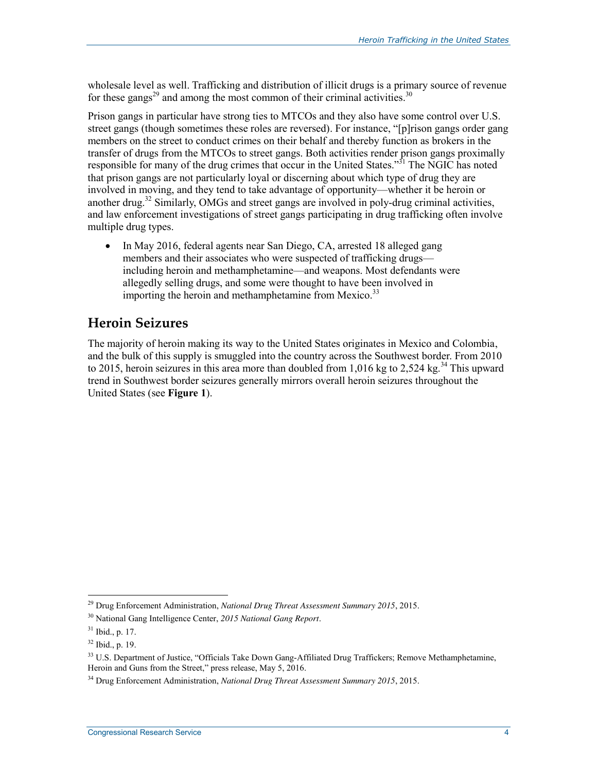wholesale level as well. Trafficking and distribution of illicit drugs is a primary source of revenue for these gangs<sup>29</sup> and among the most common of their criminal activities.<sup>30</sup>

Prison gangs in particular have strong ties to MTCOs and they also have some control over U.S. street gangs (though sometimes these roles are reversed). For instance, "[p]rison gangs order gang members on the street to conduct crimes on their behalf and thereby function as brokers in the transfer of drugs from the MTCOs to street gangs. Both activities render prison gangs proximally responsible for many of the drug crimes that occur in the United States."<sup>31</sup> The NGIC has noted that prison gangs are not particularly loyal or discerning about which type of drug they are involved in moving, and they tend to take advantage of opportunity—whether it be heroin or another drug.<sup>32</sup> Similarly, OMGs and street gangs are involved in poly-drug criminal activities, and law enforcement investigations of street gangs participating in drug trafficking often involve multiple drug types.

• In May 2016, federal agents near San Diego, CA, arrested 18 alleged gang members and their associates who were suspected of trafficking drugs including heroin and methamphetamine—and weapons. Most defendants were allegedly selling drugs, and some were thought to have been involved in importing the heroin and methamphetamine from Mexico.<sup>33</sup>

### **Heroin Seizures**

The majority of heroin making its way to the United States originates in Mexico and Colombia, and the bulk of this supply is smuggled into the country across the Southwest border. From 2010 to 2015, heroin seizures in this area more than doubled from 1,016 kg to 2,524 kg.<sup>34</sup> This upward trend in Southwest border seizures generally mirrors overall heroin seizures throughout the United States (see **Figure 1**).

<sup>29</sup> Drug Enforcement Administration, *National Drug Threat Assessment Summary 2015*, 2015.

<sup>30</sup> National Gang Intelligence Center, *2015 National Gang Report*.

 $31$  Ibid., p. 17.

 $32$  Ibid., p. 19.

<sup>&</sup>lt;sup>33</sup> U.S. Department of Justice, "Officials Take Down Gang-Affiliated Drug Traffickers; Remove Methamphetamine, Heroin and Guns from the Street," press release, May 5, 2016.

<sup>34</sup> Drug Enforcement Administration, *National Drug Threat Assessment Summary 2015*, 2015.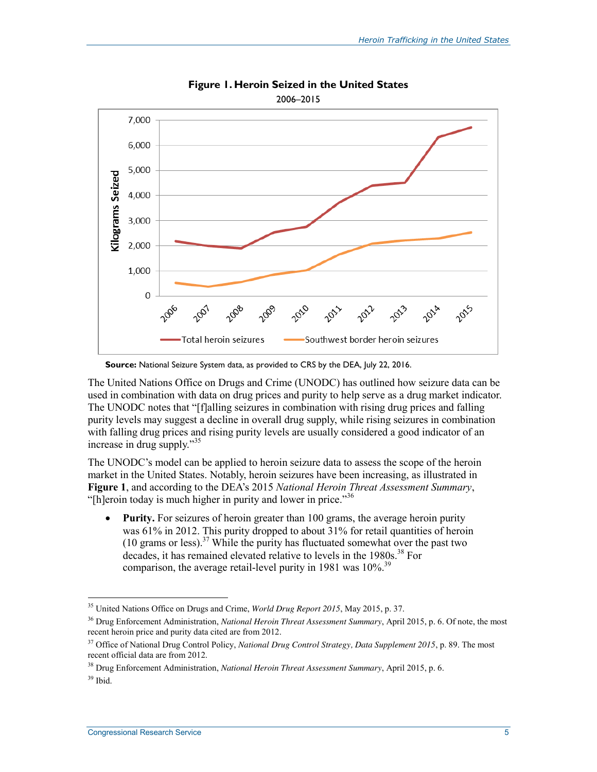

**Figure 1. Heroin Seized in the United States** 

**Source:** National Seizure System data, as provided to CRS by the DEA, July 22, 2016.

The United Nations Office on Drugs and Crime (UNODC) has outlined how seizure data can be used in combination with data on drug prices and purity to help serve as a drug market indicator. The UNODC notes that "[f]alling seizures in combination with rising drug prices and falling purity levels may suggest a decline in overall drug supply, while rising seizures in combination with falling drug prices and rising purity levels are usually considered a good indicator of an increase in drug supply."<sup>35</sup>

The UNODC's model can be applied to heroin seizure data to assess the scope of the heroin market in the United States. Notably, heroin seizures have been increasing, as illustrated in **Figure 1**, and according to the DEA's 2015 *National Heroin Threat Assessment Summary*, "[h]eroin today is much higher in purity and lower in price."<sup>36</sup>

• Purity. For seizures of heroin greater than 100 grams, the average heroin purity was 61% in 2012. This purity dropped to about 31% for retail quantities of heroin (10 grams or less).<sup>37</sup> While the purity has fluctuated somewhat over the past two decades, it has remained elevated relative to levels in the  $1980s$ .<sup>38</sup> For comparison, the average retail-level purity in 1981 was  $10\%$ <sup>39</sup>

<sup>35</sup> United Nations Office on Drugs and Crime, *World Drug Report 2015*, May 2015, p. 37.

<sup>36</sup> Drug Enforcement Administration, *National Heroin Threat Assessment Summary*, April 2015, p. 6. Of note, the most recent heroin price and purity data cited are from 2012.

<sup>&</sup>lt;sup>37</sup> Office of National Drug Control Policy, *National Drug Control Strategy*, *Data Supplement 2015*, p. 89. The most recent official data are from 2012.

<sup>38</sup> Drug Enforcement Administration, *National Heroin Threat Assessment Summary*, April 2015, p. 6.  $39$  Ibid.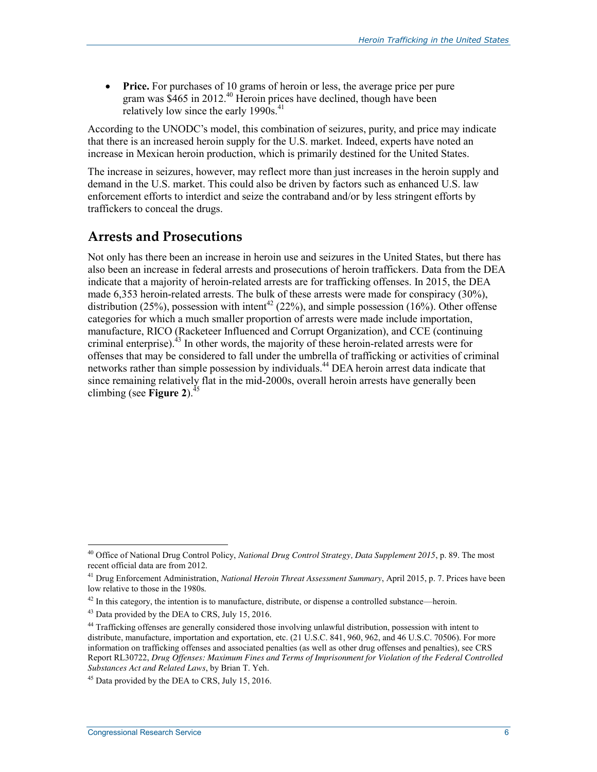**•** Price. For purchases of 10 grams of heroin or less, the average price per pure gram was \$465 in 2012.<sup>40</sup> Heroin prices have declined, though have been relatively low since the early  $1990s$ .<sup>41</sup>

According to the UNODC's model, this combination of seizures, purity, and price may indicate that there is an increased heroin supply for the U.S. market. Indeed, experts have noted an increase in Mexican heroin production, which is primarily destined for the United States.

The increase in seizures, however, may reflect more than just increases in the heroin supply and demand in the U.S. market. This could also be driven by factors such as enhanced U.S. law enforcement efforts to interdict and seize the contraband and/or by less stringent efforts by traffickers to conceal the drugs.

### **Arrests and Prosecutions**

Not only has there been an increase in heroin use and seizures in the United States, but there has also been an increase in federal arrests and prosecutions of heroin traffickers. Data from the DEA indicate that a majority of heroin-related arrests are for trafficking offenses. In 2015, the DEA made 6,353 heroin-related arrests. The bulk of these arrests were made for conspiracy (30%), distribution (25%), possession with intent<sup>42</sup> (22%), and simple possession (16%). Other offense categories for which a much smaller proportion of arrests were made include importation, manufacture, RICO (Racketeer Influenced and Corrupt Organization), and CCE (continuing criminal enterprise). $43$  In other words, the majority of these heroin-related arrests were for offenses that may be considered to fall under the umbrella of trafficking or activities of criminal networks rather than simple possession by individuals.<sup>44</sup> DEA heroin arrest data indicate that since remaining relatively flat in the mid-2000s, overall heroin arrests have generally been climbing (see **Figure 2**). $45$ 

<sup>40</sup> Office of National Drug Control Policy, *National Drug Control Strategy, Data Supplement 2015*, p. 89. The most recent official data are from 2012.

<sup>41</sup> Drug Enforcement Administration, *National Heroin Threat Assessment Summary*, April 2015, p. 7. Prices have been low relative to those in the 1980s.

 $42$  In this category, the intention is to manufacture, distribute, or dispense a controlled substance—heroin.

<sup>&</sup>lt;sup>43</sup> Data provided by the DEA to CRS, July 15, 2016.

<sup>&</sup>lt;sup>44</sup> Trafficking offenses are generally considered those involving unlawful distribution, possession with intent to distribute, manufacture, importation and exportation, etc. (21 U.S.C. 841, 960, 962, and 46 U.S.C. 70506). For more information on trafficking offenses and associated penalties (as well as other drug offenses and penalties), see CRS Report RL30722, *Drug Offenses: Maximum Fines and Terms of Imprisonment for Violation of the Federal Controlled Substances Act and Related Laws*, by Brian T. Yeh.

<sup>&</sup>lt;sup>45</sup> Data provided by the DEA to CRS, July 15, 2016.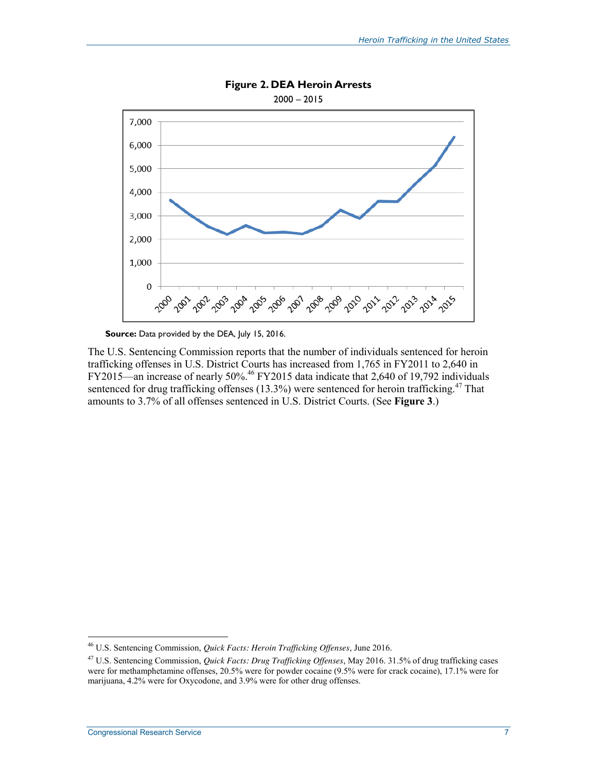

**Figure 2. DEA Heroin Arrests** 

Source: Data provided by the DEA, July 15, 2016.

The U.S. Sentencing Commission reports that the number of individuals sentenced for heroin trafficking offenses in U.S. District Courts has increased from 1,765 in FY2011 to 2,640 in FY2015—an increase of nearly 50%.<sup>46</sup> FY2015 data indicate that 2,640 of 19,792 individuals sentenced for drug trafficking offenses  $(13.3%)$  were sentenced for heroin trafficking.<sup>47</sup> That amounts to 3.7% of all offenses sentenced in U.S. District Courts. (See **Figure 3**.)

<sup>46</sup> U.S. Sentencing Commission, *Quick Facts: Heroin Trafficking Offenses*, June 2016.

<sup>47</sup> U.S. Sentencing Commission, *Quick Facts: Drug Trafficking Offenses*, May 2016. 31.5% of drug trafficking cases were for methamphetamine offenses, 20.5% were for powder cocaine (9.5% were for crack cocaine), 17.1% were for marijuana, 4.2% were for Oxycodone, and 3.9% were for other drug offenses.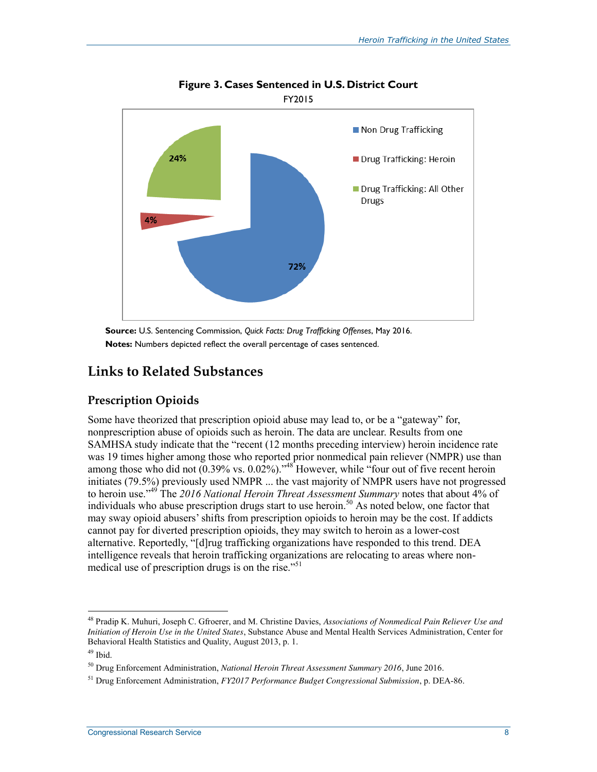

**Figure 3. Cases Sentenced in U.S. District Court** 

**Source:** U.S. Sentencing Commission, *Quick Facts: Drug Trafficking Offenses*, May 2016. **Notes:** Numbers depicted reflect the overall percentage of cases sentenced.

## **Links to Related Substances**

#### **Prescription Opioids**

Some have theorized that prescription opioid abuse may lead to, or be a "gateway" for, nonprescription abuse of opioids such as heroin. The data are unclear. Results from one SAMHSA study indicate that the "recent (12 months preceding interview) heroin incidence rate was 19 times higher among those who reported prior nonmedical pain reliever (NMPR) use than among those who did not (0.39% vs. 0.02%).<sup>"48</sup> However, while "four out of five recent heroin" initiates (79.5%) previously used NMPR ... the vast majority of NMPR users have not progressed to heroin use."<sup>49</sup> The *2016 National Heroin Threat Assessment Summary* notes that about 4% of individuals who abuse prescription drugs start to use heroin.<sup>50</sup> As noted below, one factor that may sway opioid abusers' shifts from prescription opioids to heroin may be the cost. If addicts cannot pay for diverted prescription opioids, they may switch to heroin as a lower-cost alternative. Reportedly, "[d]rug trafficking organizations have responded to this trend. DEA intelligence reveals that heroin trafficking organizations are relocating to areas where nonmedical use of prescription drugs is on the rise. $^{51}$ 

<sup>48</sup> Pradip K. Muhuri, Joseph C. Gfroerer, and M. Christine Davies, *Associations of Nonmedical Pain Reliever Use and Initiation of Heroin Use in the United States*, Substance Abuse and Mental Health Services Administration, Center for Behavioral Health Statistics and Quality, August 2013, p. 1.

<sup>49</sup> Ibid.

<sup>50</sup> Drug Enforcement Administration, *National Heroin Threat Assessment Summary 2016*, June 2016.

<sup>51</sup> Drug Enforcement Administration, *FY2017 Performance Budget Congressional Submission*, p. DEA-86.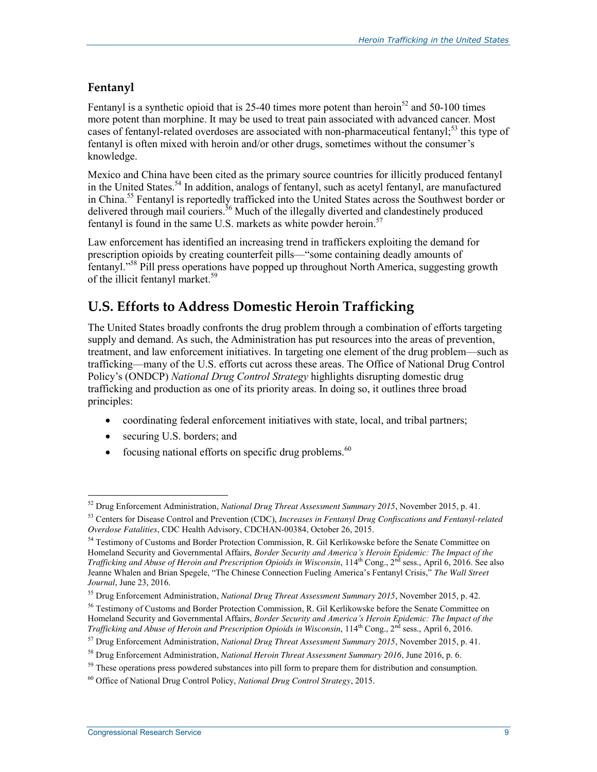#### **Fentanyl**

Fentanyl is a synthetic opioid that is 25-40 times more potent than heroin<sup>52</sup> and 50-100 times more potent than morphine. It may be used to treat pain associated with advanced cancer. Most cases of fentanyl-related overdoses are associated with non-pharmaceutical fentanyl;<sup>53</sup> this type of fentanyl is often mixed with heroin and/or other drugs, sometimes without the consumer's knowledge.

Mexico and China have been cited as the primary source countries for illicitly produced fentanyl in the United States.<sup>54</sup> In addition, analogs of fentanyl, such as acetyl fentanyl, are manufactured in China.<sup>55</sup> Fentanyl is reportedly trafficked into the United States across the Southwest border or delivered through mail couriers.<sup>56</sup> Much of the illegally diverted and clandestinely produced fentanyl is found in the same U.S. markets as white powder heroin.<sup>57</sup>

Law enforcement has identified an increasing trend in traffickers exploiting the demand for prescription opioids by creating counterfeit pills—"some containing deadly amounts of fentanyl."<sup>58</sup> Pill press operations have popped up throughout North America, suggesting growth of the illicit fentanyl market.<sup>59</sup>

## **U.S. Efforts to Address Domestic Heroin Trafficking**

The United States broadly confronts the drug problem through a combination of efforts targeting supply and demand. As such, the Administration has put resources into the areas of prevention, treatment, and law enforcement initiatives. In targeting one element of the drug problem—such as trafficking—many of the U.S. efforts cut across these areas. The Office of National Drug Control Policy's (ONDCP) *National Drug Control Strategy* highlights disrupting domestic drug trafficking and production as one of its priority areas. In doing so, it outlines three broad principles:

- coordinating federal enforcement initiatives with state, local, and tribal partners;
- securing U.S. borders; and
- focusing national efforts on specific drug problems. $60$

 $\overline{a}$ 52 Drug Enforcement Administration, *National Drug Threat Assessment Summary 2015*, November 2015, p. 41.

<sup>53</sup> Centers for Disease Control and Prevention (CDC), *Increases in Fentanyl Drug Confiscations and Fentanyl-related Overdose Fatalities*, CDC Health Advisory, CDCHAN-00384, October 26, 2015.

<sup>&</sup>lt;sup>54</sup> Testimony of Customs and Border Protection Commission, R. Gil Kerlikowske before the Senate Committee on Homeland Security and Governmental Affairs, *Border Security and America's Heroin Epidemic: The Impact of the Trafficking and Abuse of Heroin and Prescription Opioids in Wisconsin*, 114th Cong., 2nd sess., April 6, 2016. See also Jeanne Whalen and Brian Spegele, "The Chinese Connection Fueling America's Fentanyl Crisis," *The Wall Street Journal*, June 23, 2016.

<sup>55</sup> Drug Enforcement Administration, *National Drug Threat Assessment Summary 2015*, November 2015, p. 42.

<sup>56</sup> Testimony of Customs and Border Protection Commission, R. Gil Kerlikowske before the Senate Committee on Homeland Security and Governmental Affairs, *Border Security and America's Heroin Epidemic: The Impact of the Trafficking and Abuse of Heroin and Prescription Opioids in Wisconsin*, 114th Cong., 2nd sess., April 6, 2016.

<sup>57</sup> Drug Enforcement Administration, *National Drug Threat Assessment Summary 2015*, November 2015, p. 41.

<sup>58</sup> Drug Enforcement Administration, *National Heroin Threat Assessment Summary 2016*, June 2016, p. 6.

<sup>&</sup>lt;sup>59</sup> These operations press powdered substances into pill form to prepare them for distribution and consumption.

<sup>60</sup> Office of National Drug Control Policy, *National Drug Control Strategy*, 2015.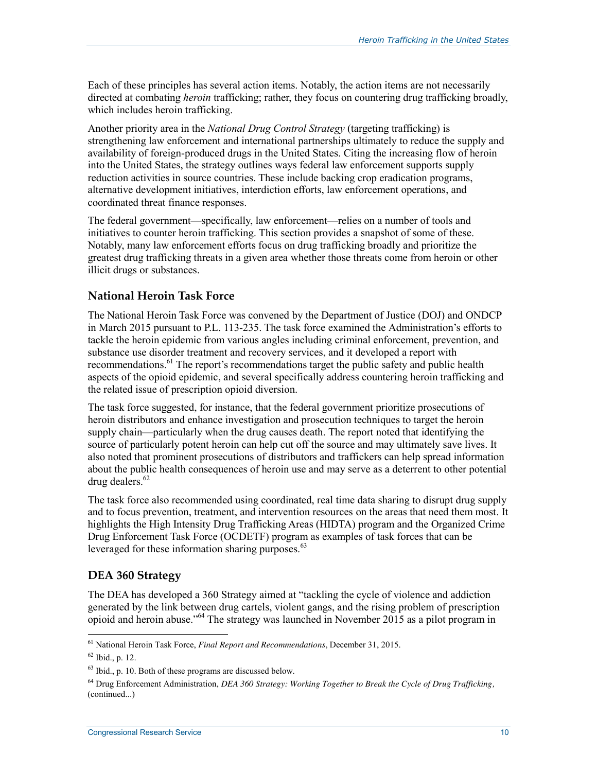Each of these principles has several action items. Notably, the action items are not necessarily directed at combating *heroin* trafficking; rather, they focus on countering drug trafficking broadly, which includes heroin trafficking.

Another priority area in the *National Drug Control Strategy* (targeting trafficking) is strengthening law enforcement and international partnerships ultimately to reduce the supply and availability of foreign-produced drugs in the United States. Citing the increasing flow of heroin into the United States, the strategy outlines ways federal law enforcement supports supply reduction activities in source countries. These include backing crop eradication programs, alternative development initiatives, interdiction efforts, law enforcement operations, and coordinated threat finance responses.

The federal government—specifically, law enforcement—relies on a number of tools and initiatives to counter heroin trafficking. This section provides a snapshot of some of these. Notably, many law enforcement efforts focus on drug trafficking broadly and prioritize the greatest drug trafficking threats in a given area whether those threats come from heroin or other illicit drugs or substances.

#### **National Heroin Task Force**

The National Heroin Task Force was convened by the Department of Justice (DOJ) and ONDCP in March 2015 pursuant to P.L. 113-235. The task force examined the Administration's efforts to tackle the heroin epidemic from various angles including criminal enforcement, prevention, and substance use disorder treatment and recovery services, and it developed a report with recommendations.<sup>61</sup> The report's recommendations target the public safety and public health aspects of the opioid epidemic, and several specifically address countering heroin trafficking and the related issue of prescription opioid diversion.

The task force suggested, for instance, that the federal government prioritize prosecutions of heroin distributors and enhance investigation and prosecution techniques to target the heroin supply chain—particularly when the drug causes death. The report noted that identifying the source of particularly potent heroin can help cut off the source and may ultimately save lives. It also noted that prominent prosecutions of distributors and traffickers can help spread information about the public health consequences of heroin use and may serve as a deterrent to other potential drug dealers. $62$ 

The task force also recommended using coordinated, real time data sharing to disrupt drug supply and to focus prevention, treatment, and intervention resources on the areas that need them most. It highlights the High Intensity Drug Trafficking Areas (HIDTA) program and the Organized Crime Drug Enforcement Task Force (OCDETF) program as examples of task forces that can be leveraged for these information sharing purposes.<sup>63</sup>

#### **DEA 360 Strategy**

The DEA has developed a 360 Strategy aimed at "tackling the cycle of violence and addiction generated by the link between drug cartels, violent gangs, and the rising problem of prescription opioid and heroin abuse."<sup>64</sup> The strategy was launched in November 2015 as a pilot program in

<sup>61</sup> National Heroin Task Force, *Final Report and Recommendations*, December 31, 2015.

 $62$  Ibid., p. 12.

<sup>63</sup> Ibid., p. 10. Both of these programs are discussed below.

<sup>64</sup> Drug Enforcement Administration, *DEA 360 Strategy: Working Together to Break the Cycle of Drug Trafficking,*  (continued...)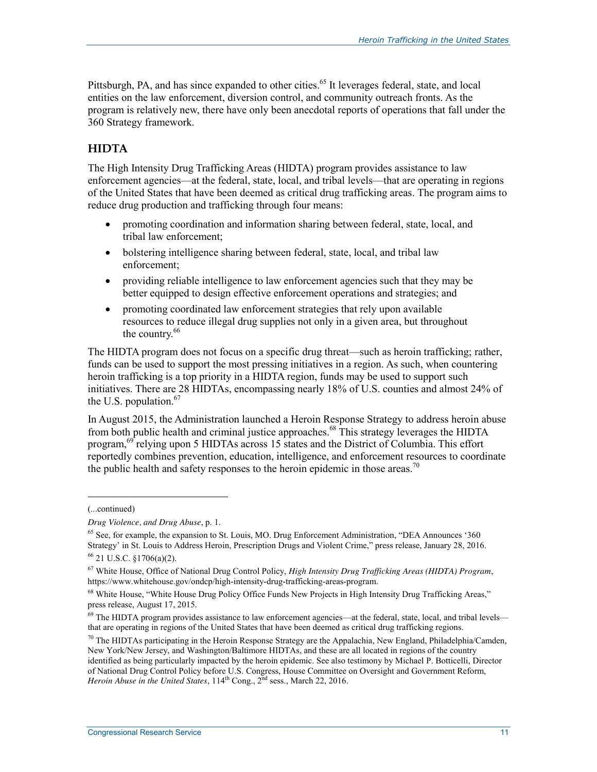Pittsburgh, PA, and has since expanded to other cities.<sup>65</sup> It leverages federal, state, and local entities on the law enforcement, diversion control, and community outreach fronts. As the program is relatively new, there have only been anecdotal reports of operations that fall under the 360 Strategy framework.

#### **HIDTA**

The High Intensity Drug Trafficking Areas (HIDTA) program provides assistance to law enforcement agencies—at the federal, state, local, and tribal levels—that are operating in regions of the United States that have been deemed as critical drug trafficking areas. The program aims to reduce drug production and trafficking through four means:

- promoting coordination and information sharing between federal, state, local, and tribal law enforcement;
- bolstering intelligence sharing between federal, state, local, and tribal law enforcement;
- providing reliable intelligence to law enforcement agencies such that they may be better equipped to design effective enforcement operations and strategies; and
- promoting coordinated law enforcement strategies that rely upon available resources to reduce illegal drug supplies not only in a given area, but throughout the country.<sup>66</sup>

The HIDTA program does not focus on a specific drug threat—such as heroin trafficking; rather, funds can be used to support the most pressing initiatives in a region. As such, when countering heroin trafficking is a top priority in a HIDTA region, funds may be used to support such initiatives. There are 28 HIDTAs, encompassing nearly 18% of U.S. counties and almost 24% of the U.S. population. $67$ 

In August 2015, the Administration launched a Heroin Response Strategy to address heroin abuse from both public health and criminal justice approaches.<sup>68</sup> This strategy leverages the HIDTA program,<sup>69</sup> relying upon 5 HIDTAs across 15 states and the District of Columbia. This effort reportedly combines prevention, education, intelligence, and enforcement resources to coordinate the public health and safety responses to the heroin epidemic in those areas.<sup>70</sup>

l

<sup>(...</sup>continued)

*Drug Violence, and Drug Abuse*, p. 1.

 $65$  See, for example, the expansion to St. Louis, MO. Drug Enforcement Administration, "DEA Announces '360 Strategy' in St. Louis to Address Heroin, Prescription Drugs and Violent Crime," press release, January 28, 2016. 66 21 U.S.C. §1706(a)(2).

<sup>67</sup> White House, Office of National Drug Control Policy, *High Intensity Drug Trafficking Areas (HIDTA) Program*, https://www.whitehouse.gov/ondcp/high-intensity-drug-trafficking-areas-program.

<sup>&</sup>lt;sup>68</sup> White House, "White House Drug Policy Office Funds New Projects in High Intensity Drug Trafficking Areas," press release, August 17, 2015.

<sup>&</sup>lt;sup>69</sup> The HIDTA program provides assistance to law enforcement agencies—at the federal, state, local, and tribal levels that are operating in regions of the United States that have been deemed as critical drug trafficking regions.

 $^{70}$  The HIDTAs participating in the Heroin Response Strategy are the Appalachia, New England, Philadelphia/Camden, New York/New Jersey, and Washington/Baltimore HIDTAs, and these are all located in regions of the country identified as being particularly impacted by the heroin epidemic. See also testimony by Michael P. Botticelli, Director of National Drug Control Policy before U.S. Congress, House Committee on Oversight and Government Reform, *Heroin Abuse in the United States*,  $114^{\text{th}}$  Cong.,  $2^{\text{nd}}$  sess., March 22, 2016.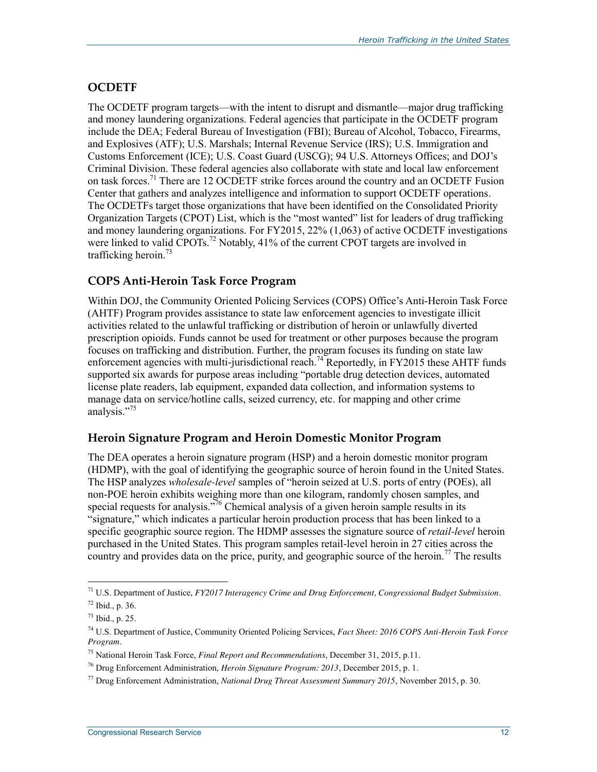#### **OCDETF**

The OCDETF program targets—with the intent to disrupt and dismantle—major drug trafficking and money laundering organizations. Federal agencies that participate in the OCDETF program include the DEA; Federal Bureau of Investigation (FBI); Bureau of Alcohol, Tobacco, Firearms, and Explosives (ATF); U.S. Marshals; Internal Revenue Service (IRS); U.S. Immigration and Customs Enforcement (ICE); U.S. Coast Guard (USCG); 94 U.S. Attorneys Offices; and DOJ's Criminal Division. These federal agencies also collaborate with state and local law enforcement on task forces.<sup>71</sup> There are 12 OCDETF strike forces around the country and an OCDETF Fusion Center that gathers and analyzes intelligence and information to support OCDETF operations. The OCDETFs target those organizations that have been identified on the Consolidated Priority Organization Targets (CPOT) List, which is the "most wanted" list for leaders of drug trafficking and money laundering organizations. For FY2015, 22% (1,063) of active OCDETF investigations were linked to valid  $\overline{CPOTs}$ .<sup>72</sup> Notably, 41% of the current  $\overline{CPOT}$  targets are involved in trafficking heroin.<sup>73</sup>

#### **COPS Anti-Heroin Task Force Program**

Within DOJ, the Community Oriented Policing Services (COPS) Office's Anti-Heroin Task Force (AHTF) Program provides assistance to state law enforcement agencies to investigate illicit activities related to the unlawful trafficking or distribution of heroin or unlawfully diverted prescription opioids. Funds cannot be used for treatment or other purposes because the program focuses on trafficking and distribution. Further, the program focuses its funding on state law enforcement agencies with multi-jurisdictional reach.<sup>74</sup> Reportedly, in FY2015 these AHTF funds supported six awards for purpose areas including "portable drug detection devices, automated license plate readers, lab equipment, expanded data collection, and information systems to manage data on service/hotline calls, seized currency, etc. for mapping and other crime analysis."<sup>75</sup>

#### **Heroin Signature Program and Heroin Domestic Monitor Program**

The DEA operates a heroin signature program (HSP) and a heroin domestic monitor program (HDMP), with the goal of identifying the geographic source of heroin found in the United States. The HSP analyzes *wholesale-level* samples of "heroin seized at U.S. ports of entry (POEs), all non-POE heroin exhibits weighing more than one kilogram, randomly chosen samples, and special requests for analysis.<sup> $\frac{7}{6}$ </sup> Chemical analysis of a given heroin sample results in its "signature," which indicates a particular heroin production process that has been linked to a specific geographic source region. The HDMP assesses the signature source of *retail-level* heroin purchased in the United States. This program samples retail-level heroin in 27 cities across the country and provides data on the price, purity, and geographic source of the heroin.<sup>77</sup> The results

<sup>71</sup> U.S. Department of Justice, *FY2017 Interagency Crime and Drug Enforcement, Congressional Budget Submission*.

<sup>72</sup> Ibid., p. 36.

 $^{73}$  Ibid., p. 25.

<sup>74</sup> U.S. Department of Justice, Community Oriented Policing Services, *Fact Sheet: 2016 COPS Anti-Heroin Task Force Program*.

<sup>75</sup> National Heroin Task Force, *Final Report and Recommendations*, December 31, 2015, p.11.

<sup>76</sup> Drug Enforcement Administration, *Heroin Signature Program: 2013*, December 2015, p. 1.

<sup>77</sup> Drug Enforcement Administration, *National Drug Threat Assessment Summary 2015*, November 2015, p. 30.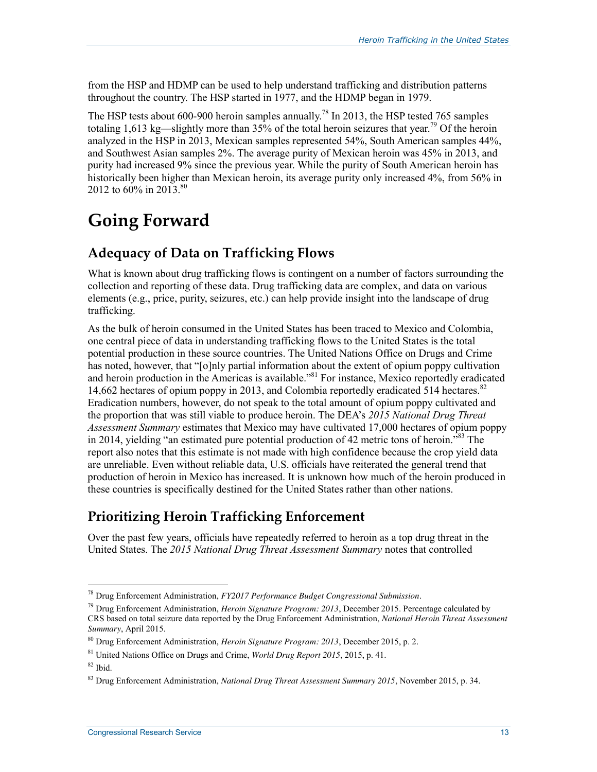from the HSP and HDMP can be used to help understand trafficking and distribution patterns throughout the country. The HSP started in 1977, and the HDMP began in 1979.

The HSP tests about 600-900 heroin samples annually.<sup>78</sup> In 2013, the HSP tested 765 samples totaling 1,613 kg—slightly more than 35% of the total heroin seizures that year.<sup>79</sup> Of the heroin analyzed in the HSP in 2013, Mexican samples represented 54%, South American samples 44%, and Southwest Asian samples 2%. The average purity of Mexican heroin was 45% in 2013, and purity had increased 9% since the previous year. While the purity of South American heroin has historically been higher than Mexican heroin, its average purity only increased 4%, from 56% in 2012 to 60% in 2013.<sup>80</sup>

# **Going Forward**

## **Adequacy of Data on Trafficking Flows**

What is known about drug trafficking flows is contingent on a number of factors surrounding the collection and reporting of these data. Drug trafficking data are complex, and data on various elements (e.g., price, purity, seizures, etc.) can help provide insight into the landscape of drug trafficking.

As the bulk of heroin consumed in the United States has been traced to Mexico and Colombia, one central piece of data in understanding trafficking flows to the United States is the total potential production in these source countries. The United Nations Office on Drugs and Crime has noted, however, that "[o]nly partial information about the extent of opium poppy cultivation and heroin production in the Americas is available."<sup>81</sup> For instance, Mexico reportedly eradicated 14,662 hectares of opium poppy in 2013, and Colombia reportedly eradicated 514 hectares.<sup>82</sup> Eradication numbers, however, do not speak to the total amount of opium poppy cultivated and the proportion that was still viable to produce heroin. The DEA's *2015 National Drug Threat Assessment Summary* estimates that Mexico may have cultivated 17,000 hectares of opium poppy in 2014, yielding "an estimated pure potential production of 42 metric tons of heroin.<sup>583</sup> The report also notes that this estimate is not made with high confidence because the crop yield data are unreliable. Even without reliable data, U.S. officials have reiterated the general trend that production of heroin in Mexico has increased. It is unknown how much of the heroin produced in these countries is specifically destined for the United States rather than other nations.

## **Prioritizing Heroin Trafficking Enforcement**

Over the past few years, officials have repeatedly referred to heroin as a top drug threat in the United States. The *2015 National Drug Threat Assessment Summary* notes that controlled

<sup>78</sup> Drug Enforcement Administration, *FY2017 Performance Budget Congressional Submission*.

<sup>79</sup> Drug Enforcement Administration, *Heroin Signature Program: 2013*, December 2015. Percentage calculated by CRS based on total seizure data reported by the Drug Enforcement Administration, *National Heroin Threat Assessment Summary*, April 2015.

<sup>80</sup> Drug Enforcement Administration, *Heroin Signature Program: 2013*, December 2015, p. 2.

<sup>81</sup> United Nations Office on Drugs and Crime, *World Drug Report 2015*, 2015, p. 41.

<sup>82</sup> Ibid.

<sup>83</sup> Drug Enforcement Administration, *National Drug Threat Assessment Summary 2015*, November 2015, p. 34.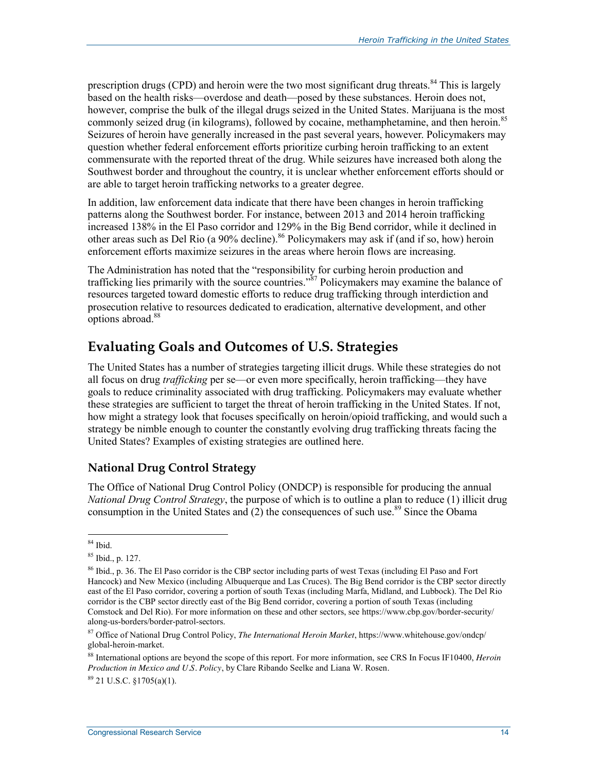prescription drugs (CPD) and heroin were the two most significant drug threats.<sup>84</sup> This is largely based on the health risks—overdose and death—posed by these substances. Heroin does not, however, comprise the bulk of the illegal drugs seized in the United States. Marijuana is the most commonly seized drug (in kilograms), followed by cocaine, methamphetamine, and then heroin.<sup>85</sup> Seizures of heroin have generally increased in the past several years, however. Policymakers may question whether federal enforcement efforts prioritize curbing heroin trafficking to an extent commensurate with the reported threat of the drug. While seizures have increased both along the Southwest border and throughout the country, it is unclear whether enforcement efforts should or are able to target heroin trafficking networks to a greater degree.

In addition, law enforcement data indicate that there have been changes in heroin trafficking patterns along the Southwest border. For instance, between 2013 and 2014 heroin trafficking increased 138% in the El Paso corridor and 129% in the Big Bend corridor, while it declined in other areas such as Del Rio (a 90% decline).<sup>86</sup> Policymakers may ask if (and if so, how) heroin enforcement efforts maximize seizures in the areas where heroin flows are increasing.

The Administration has noted that the "responsibility for curbing heroin production and trafficking lies primarily with the source countries."<sup>87</sup> Policymakers may examine the balance of resources targeted toward domestic efforts to reduce drug trafficking through interdiction and prosecution relative to resources dedicated to eradication, alternative development, and other options abroad.<sup>88</sup>

## **Evaluating Goals and Outcomes of U.S. Strategies**

The United States has a number of strategies targeting illicit drugs. While these strategies do not all focus on drug *trafficking* per se—or even more specifically, heroin trafficking—they have goals to reduce criminality associated with drug trafficking. Policymakers may evaluate whether these strategies are sufficient to target the threat of heroin trafficking in the United States. If not, how might a strategy look that focuses specifically on heroin/opioid trafficking, and would such a strategy be nimble enough to counter the constantly evolving drug trafficking threats facing the United States? Examples of existing strategies are outlined here.

#### **National Drug Control Strategy**

The Office of National Drug Control Policy (ONDCP) is responsible for producing the annual *National Drug Control Strategy*, the purpose of which is to outline a plan to reduce (1) illicit drug consumption in the United States and  $(2)$  the consequences of such use.<sup>89</sup> Since the Obama

**Congressional Research Service 14** and 200 and 200 and 200 and 200 and 200 and 200 and 200 and 200 and 200 and 200 and 200 and 200 and 200 and 200 and 200 and 200 and 200 and 200 and 200 and 200 and 200 and 200 and 200 an

 $\overline{a}$ 84 Ibid.

<sup>85</sup> Ibid., p. 127.

<sup>86</sup> Ibid., p. 36. The El Paso corridor is the CBP sector including parts of west Texas (including El Paso and Fort Hancock) and New Mexico (including Albuquerque and Las Cruces). The Big Bend corridor is the CBP sector directly east of the El Paso corridor, covering a portion of south Texas (including Marfa, Midland, and Lubbock). The Del Rio corridor is the CBP sector directly east of the Big Bend corridor, covering a portion of south Texas (including Comstock and Del Rio). For more information on these and other sectors, see https://www.cbp.gov/border-security/ along-us-borders/border-patrol-sectors.

<sup>87</sup> Office of National Drug Control Policy, *The International Heroin Market*, https://www.whitehouse.gov/ondcp/ global-heroin-market.

<sup>88</sup> International options are beyond the scope of this report. For more information, see CRS In Focus IF10400, *Heroin Production in Mexico and U.S. Policy*, by Clare Ribando Seelke and Liana W. Rosen.  $89$  21 U.S.C.  $$1705(a)(1)$ .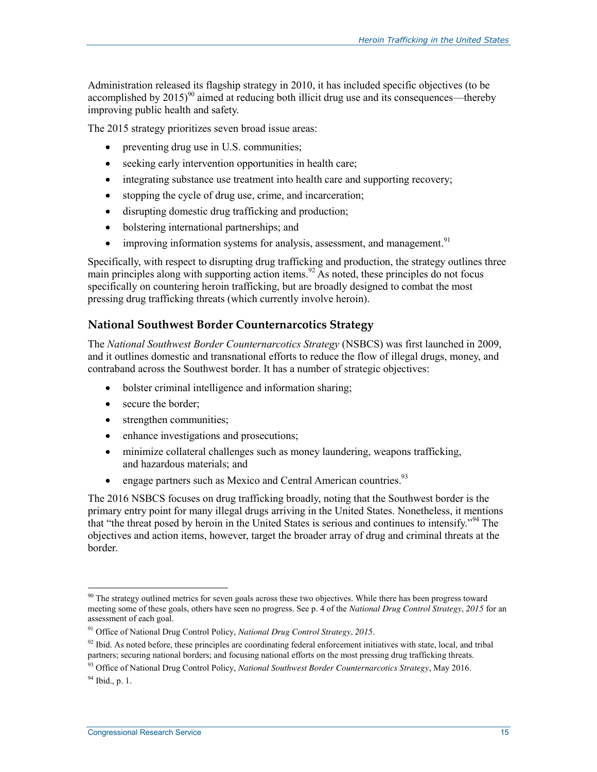Administration released its flagship strategy in 2010, it has included specific objectives (to be accomplished by  $2015)^{90}$  aimed at reducing both illicit drug use and its consequences—thereby improving public health and safety.

The 2015 strategy prioritizes seven broad issue areas:

- preventing drug use in U.S. communities;
- $\bullet$  seeking early intervention opportunities in health care;
- integrating substance use treatment into health care and supporting recovery;
- $\bullet$  stopping the cycle of drug use, crime, and incarceration;
- disrupting domestic drug trafficking and production;
- bolstering international partnerships; and
- $\bullet$  improving information systems for analysis, assessment, and management.<sup>91</sup>

Specifically, with respect to disrupting drug trafficking and production, the strategy outlines three main principles along with supporting action items.<sup>92</sup> As noted, these principles do not focus specifically on countering heroin trafficking, but are broadly designed to combat the most pressing drug trafficking threats (which currently involve heroin).

#### **National Southwest Border Counternarcotics Strategy**

The *National Southwest Border Counternarcotics Strategy* (NSBCS) was first launched in 2009, and it outlines domestic and transnational efforts to reduce the flow of illegal drugs, money, and contraband across the Southwest border. It has a number of strategic objectives:

- bolster criminal intelligence and information sharing;
- secure the border:
- strengthen communities:
- enhance investigations and prosecutions;
- minimize collateral challenges such as money laundering, weapons trafficking, and hazardous materials; and
- engage partners such as Mexico and Central American countries.<sup>93</sup>

The 2016 NSBCS focuses on drug trafficking broadly, noting that the Southwest border is the primary entry point for many illegal drugs arriving in the United States. Nonetheless, it mentions that "the threat posed by heroin in the United States is serious and continues to intensify."<sup>94</sup> The objectives and action items, however, target the broader array of drug and criminal threats at the border.

<sup>&</sup>lt;sup>90</sup> The strategy outlined metrics for seven goals across these two objectives. While there has been progress toward meeting some of these goals, others have seen no progress. See p. 4 of the *National Drug Control Strategy, 2015* for an assessment of each goal.

<sup>91</sup> Office of National Drug Control Policy, *National Drug Control Strategy, 2015*.

 $92$  Ibid. As noted before, these principles are coordinating federal enforcement initiatives with state, local, and tribal partners; securing national borders; and focusing national efforts on the most pressing drug trafficking threats.

<sup>93</sup> Office of National Drug Control Policy, *National Southwest Border Counternarcotics Strategy*, May 2016.  $94$  Ibid., p. 1.